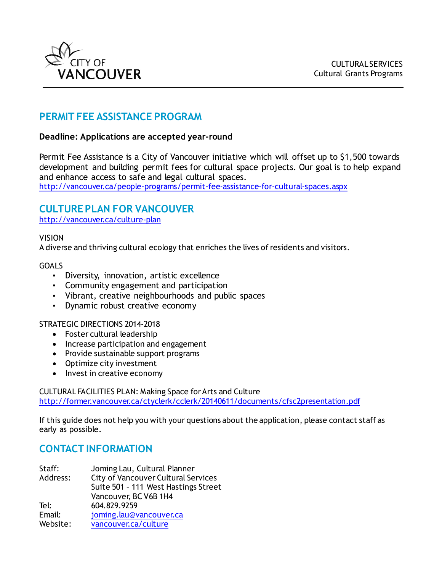

## **PERMIT FEE ASSISTANCE PROGRAM**

## **Deadline: Applications are accepted year-round**

Permit Fee Assistance is a City of Vancouver initiative which will offset up to \$1,500 towards development and building permit fees for cultural space projects. Our goal is to help expand and enhance access to safe and legal cultural spaces. <http://vancouver.ca/people-programs/permit-fee-assistance-for-cultural-spaces.aspx>

## **CULTURE PLAN FOR VANCOUVER**

<http://vancouver.ca/culture-plan>

### VISION

A diverse and thriving cultural ecology that enriches the lives of residents and visitors.

### GOALS

- Diversity, innovation, artistic excellence
- Community engagement and participation
- Vibrant, creative neighbourhoods and public spaces
- Dynamic robust creative economy

### STRATEGIC DIRECTIONS 2014-2018

- Foster cultural leadership
- Increase participation and engagement
- Provide sustainable support programs
- Optimize city investment
- Invest in creative economy

CULTURAL FACILITIES PLAN: Making Space for Arts and Culture <http://former.vancouver.ca/ctyclerk/cclerk/20140611/documents/cfsc2presentation.pdf>

If this guide does not help you with your questions about the application, please contact staff as early as possible.

## **CONTACT INFORMATION**

| Staff:   | Joming Lau, Cultural Planner               |
|----------|--------------------------------------------|
| Address: | <b>City of Vancouver Cultural Services</b> |
|          | Suite 501 - 111 West Hastings Street       |
|          | Vancouver, BC V6B 1H4                      |
| Tel:     | 604.829.9259                               |
| Email:   | joming.lau@vancouver.ca                    |
| Website: | vancouver.ca/culture                       |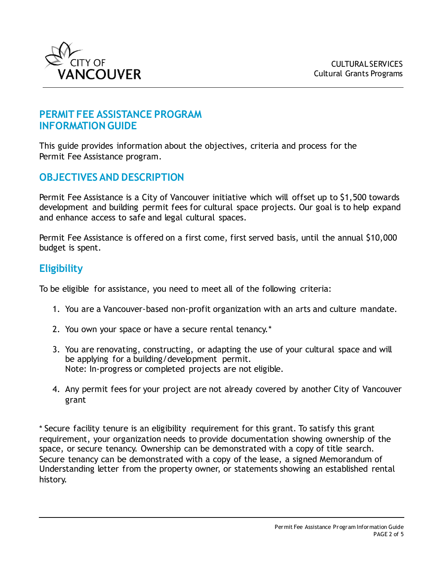

## **PERMIT FEE ASSISTANCE PROGRAM INFORMATION GUIDE**

This guide provides information about the objectives, criteria and process for the Permit Fee Assistance program.

## **OBJECTIVES AND DESCRIPTION**

Permit Fee Assistance is a City of Vancouver initiative which will offset up to \$1,500 towards development and building permit fees for cultural space projects. Our goal is to help expand and enhance access to safe and legal cultural spaces.

Permit Fee Assistance is offered on a first come, first served basis, until the annual \$10,000 budget is spent.

## **Eligibility**

To be eligible for assistance, you need to meet all of the following criteria:

- 1. You are a Vancouver-based non-profit organization with an arts and culture mandate.
- 2. You own your space or have a secure rental tenancy.\*
- 3. You are renovating, constructing, or adapting the use of your cultural space and will be applying for a building/development permit. Note: In-progress or completed projects are not eligible.
- 4. Any permit fees for your project are not already covered by another City of Vancouver grant

\* Secure facility tenure is an eligibility requirement for this grant. To satisfy this grant requirement, your organization needs to provide documentation showing ownership of the space, or secure tenancy. Ownership can be demonstrated with a copy of title search. Secure tenancy can be demonstrated with a copy of the lease, a signed Memorandum of Understanding letter from the property owner, or statements showing an established rental history.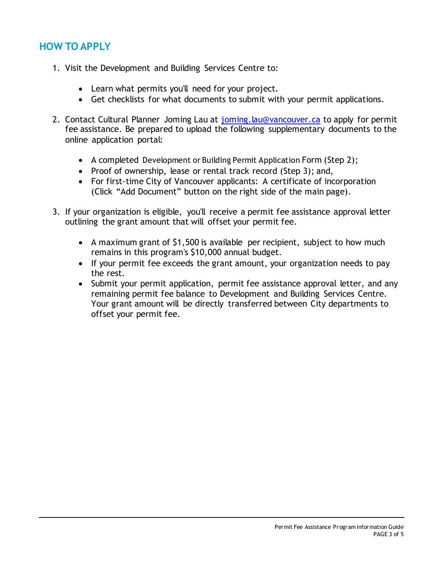# **HOW TO APPLY**

- 1. Visit the Development and Building Services Centre to:
	- Learn what permits you'll need for your project.
	- Get checklists for what documents to submit with your permit applications.
- 2. Contact Cultural Planner Joming Lau at [joming.lau@vancouver.ca](mailto:joming.lau@vancouver.ca) to apply for permit fee assistance. Be prepared to upload the following supplementary documents to the online application portal:
	- A completed [Development or Building Permit Application](http://review.vancouver.ca/files/cov/dev-build-app-form.pdf) Form (Step 2);
	- Proof of ownership, lease or rental track record (Step 3); and,
	- For first-time City of Vancouver applicants: A certificate of incorporation (Click "Add Document" button on the right side of the main page).
- 3. If your organization is eligible, you'll receive a permit fee assistance approval letter outlining the grant amount that will offset your permit fee.
	- A maximum grant of \$1,500 is available per recipient, subject to how much remains in this program's \$10,000 annual budget.
	- If your permit fee exceeds the grant amount, your organization needs to pay the rest.
	- Submit your permit application, permit fee assistance approval letter, and any remaining permit fee balance to Development and Building Services Centre. Your grant amount will be directly transferred between City departments to offset your permit fee.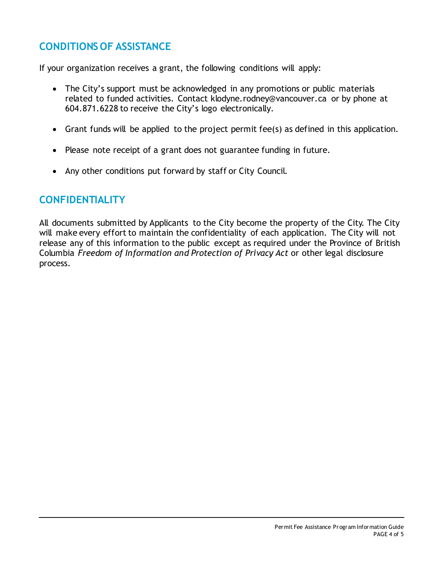# **CONDITIONS OF ASSISTANCE**

If your organization receives a grant, the following conditions will apply:

- The City's support must be acknowledged in any promotions or public materials related to funded activities. Contact klodyne.rodney@vancouver.ca or by phone at 604.871.6228 to receive the City's logo electronically.
- Grant funds will be applied to the project permit fee(s) as defined in this application.
- Please note receipt of a grant does not guarantee funding in future.
- Any other conditions put forward by staff or City Council.

## **CONFIDENTIALITY**

All documents submitted by Applicants to the City become the property of the City. The City will make every effort to maintain the confidentiality of each application. The City will not release any of this information to the public except as required under the Province of British Columbia *Freedom of Information and Protection of Privacy Act* or other legal disclosure process.